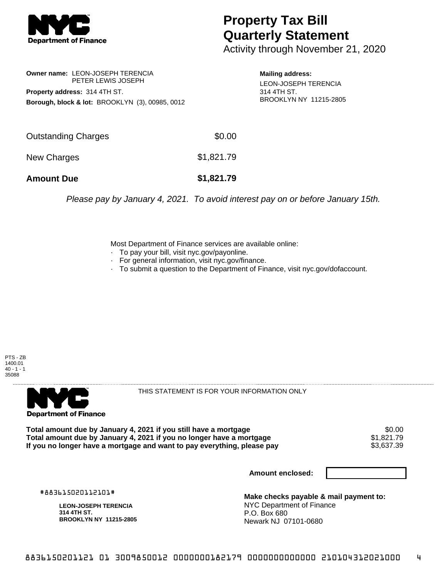

## **Property Tax Bill Quarterly Statement**

Activity through November 21, 2020

**Owner name:** LEON-JOSEPH TERENCIA PETER LEWIS JOSEPH **Property address:** 314 4TH ST. **Borough, block & lot:** BROOKLYN (3), 00985, 0012

**Mailing address:** LEON-JOSEPH TERENCIA 314 4TH ST. BROOKLYN NY 11215-2805

| <b>Amount Due</b>   | \$1,821.79 |
|---------------------|------------|
| New Charges         | \$1,821.79 |
| Outstanding Charges | \$0.00     |

Please pay by January 4, 2021. To avoid interest pay on or before January 15th.

Most Department of Finance services are available online:

- · To pay your bill, visit nyc.gov/payonline.
- For general information, visit nyc.gov/finance.
- · To submit a question to the Department of Finance, visit nyc.gov/dofaccount.





THIS STATEMENT IS FOR YOUR INFORMATION ONLY

Total amount due by January 4, 2021 if you still have a mortgage \$0.00<br>Total amount due by January 4, 2021 if you no longer have a mortgage \$1.821.79 **Total amount due by January 4, 2021 if you no longer have a mortgage**  $$1,821.79$ **<br>If you no longer have a mortgage and want to pay everything, please pay**  $$3,637.39$ If you no longer have a mortgage and want to pay everything, please pay

**Amount enclosed:**

#883615020112101#

**LEON-JOSEPH TERENCIA 314 4TH ST. BROOKLYN NY 11215-2805**

**Make checks payable & mail payment to:** NYC Department of Finance P.O. Box 680 Newark NJ 07101-0680